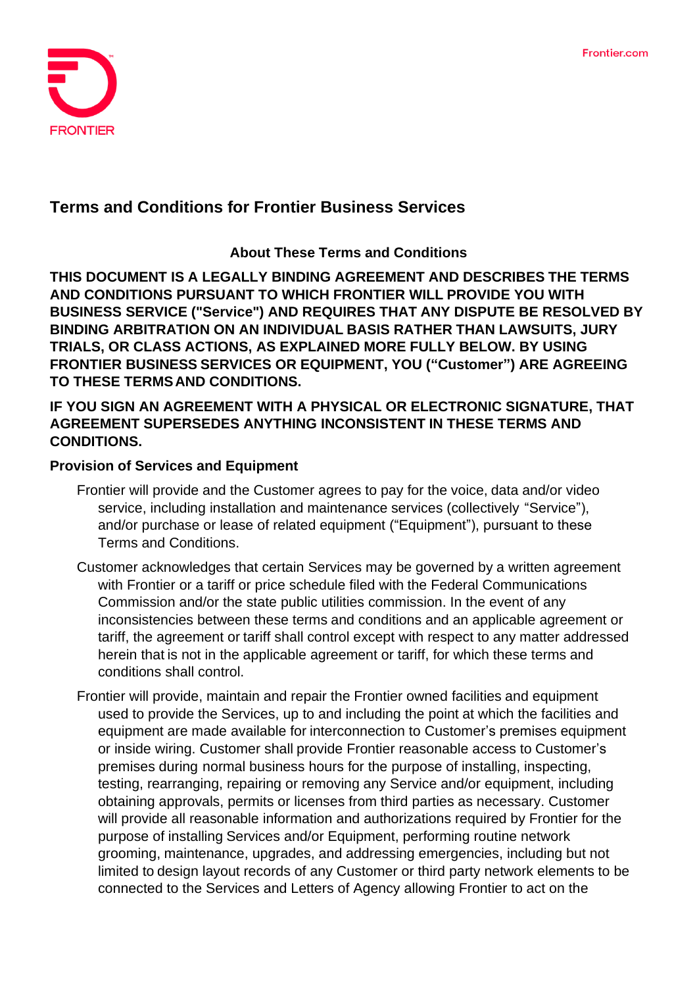

# **Terms and Conditions for Frontier Business Services**

### **About These Terms and Conditions**

**THIS DOCUMENT IS A LEGALLY BINDING AGREEMENT AND DESCRIBES THE TERMS AND CONDITIONS PURSUANT TO WHICH FRONTIER WILL PROVIDE YOU WITH BUSINESS SERVICE ("Service") AND REQUIRES THAT ANY DISPUTE BE RESOLVED BY BINDING ARBITRATION ON AN INDIVIDUAL BASIS RATHER THAN LAWSUITS, JURY TRIALS, OR CLASS ACTIONS, AS EXPLAINED MORE FULLY BELOW. BY USING FRONTIER BUSINESS SERVICES OR EQUIPMENT, YOU ("Customer") ARE AGREEING TO THESE TERMSAND CONDITIONS.**

### **IF YOU SIGN AN AGREEMENT WITH A PHYSICAL OR ELECTRONIC SIGNATURE, THAT AGREEMENT SUPERSEDES ANYTHING INCONSISTENT IN THESE TERMS AND CONDITIONS.**

#### **Provision of Services and Equipment**

- Frontier will provide and the Customer agrees to pay for the voice, data and/or video service, including installation and maintenance services (collectively "Service"), and/or purchase or lease of related equipment ("Equipment"), pursuant to these Terms and Conditions.
- Customer acknowledges that certain Services may be governed by a written agreement with Frontier or a tariff or price schedule filed with the Federal Communications Commission and/or the state public utilities commission. In the event of any inconsistencies between these terms and conditions and an applicable agreement or tariff, the agreement or tariff shall control except with respect to any matter addressed herein that is not in the applicable agreement or tariff, for which these terms and conditions shall control.
- Frontier will provide, maintain and repair the Frontier owned facilities and equipment used to provide the Services, up to and including the point at which the facilities and equipment are made available for interconnection to Customer's premises equipment or inside wiring. Customer shall provide Frontier reasonable access to Customer's premises during normal business hours for the purpose of installing, inspecting, testing, rearranging, repairing or removing any Service and/or equipment, including obtaining approvals, permits or licenses from third parties as necessary. Customer will provide all reasonable information and authorizations required by Frontier for the purpose of installing Services and/or Equipment, performing routine network grooming, maintenance, upgrades, and addressing emergencies, including but not limited to design layout records of any Customer or third party network elements to be connected to the Services and Letters of Agency allowing Frontier to act on the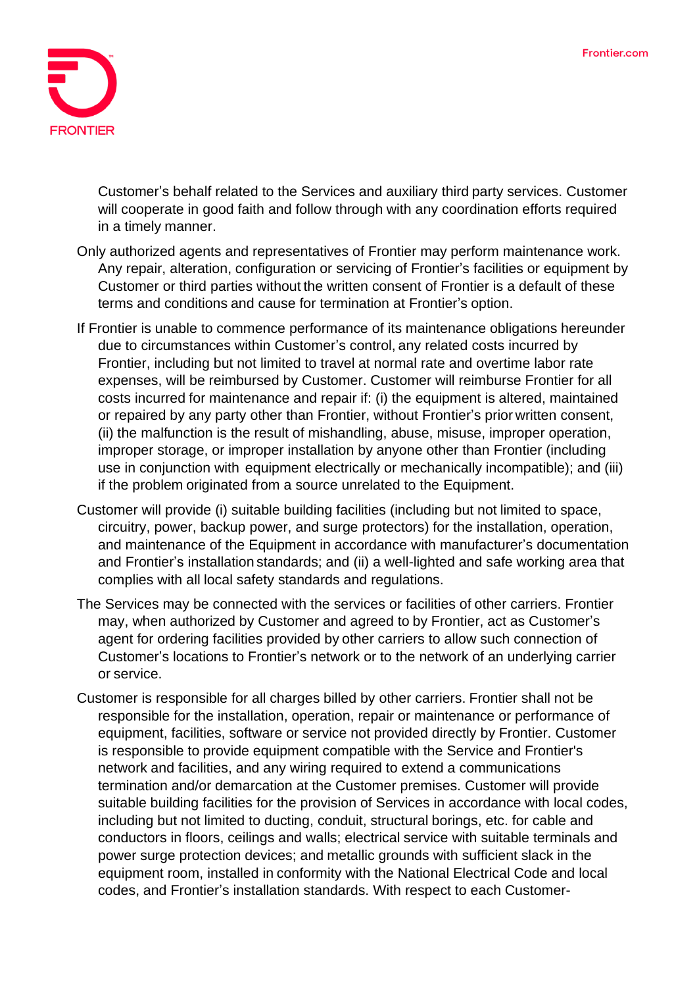

Customer's behalf related to the Services and auxiliary third party services. Customer will cooperate in good faith and follow through with any coordination efforts required in a timely manner.

- Only authorized agents and representatives of Frontier may perform maintenance work. Any repair, alteration, configuration or servicing of Frontier's facilities or equipment by Customer or third parties without the written consent of Frontier is a default of these terms and conditions and cause for termination at Frontier's option.
- If Frontier is unable to commence performance of its maintenance obligations hereunder due to circumstances within Customer's control, any related costs incurred by Frontier, including but not limited to travel at normal rate and overtime labor rate expenses, will be reimbursed by Customer. Customer will reimburse Frontier for all costs incurred for maintenance and repair if: (i) the equipment is altered, maintained or repaired by any party other than Frontier, without Frontier's prior written consent, (ii) the malfunction is the result of mishandling, abuse, misuse, improper operation, improper storage, or improper installation by anyone other than Frontier (including use in conjunction with equipment electrically or mechanically incompatible); and (iii) if the problem originated from a source unrelated to the Equipment.
- Customer will provide (i) suitable building facilities (including but not limited to space, circuitry, power, backup power, and surge protectors) for the installation, operation, and maintenance of the Equipment in accordance with manufacturer's documentation and Frontier's installation standards; and (ii) a well-lighted and safe working area that complies with all local safety standards and regulations.
- The Services may be connected with the services or facilities of other carriers. Frontier may, when authorized by Customer and agreed to by Frontier, act as Customer's agent for ordering facilities provided by other carriers to allow such connection of Customer's locations to Frontier's network or to the network of an underlying carrier or service.
- Customer is responsible for all charges billed by other carriers. Frontier shall not be responsible for the installation, operation, repair or maintenance or performance of equipment, facilities, software or service not provided directly by Frontier. Customer is responsible to provide equipment compatible with the Service and Frontier's network and facilities, and any wiring required to extend a communications termination and/or demarcation at the Customer premises. Customer will provide suitable building facilities for the provision of Services in accordance with local codes, including but not limited to ducting, conduit, structural borings, etc. for cable and conductors in floors, ceilings and walls; electrical service with suitable terminals and power surge protection devices; and metallic grounds with sufficient slack in the equipment room, installed in conformity with the National Electrical Code and local codes, and Frontier's installation standards. With respect to each Customer-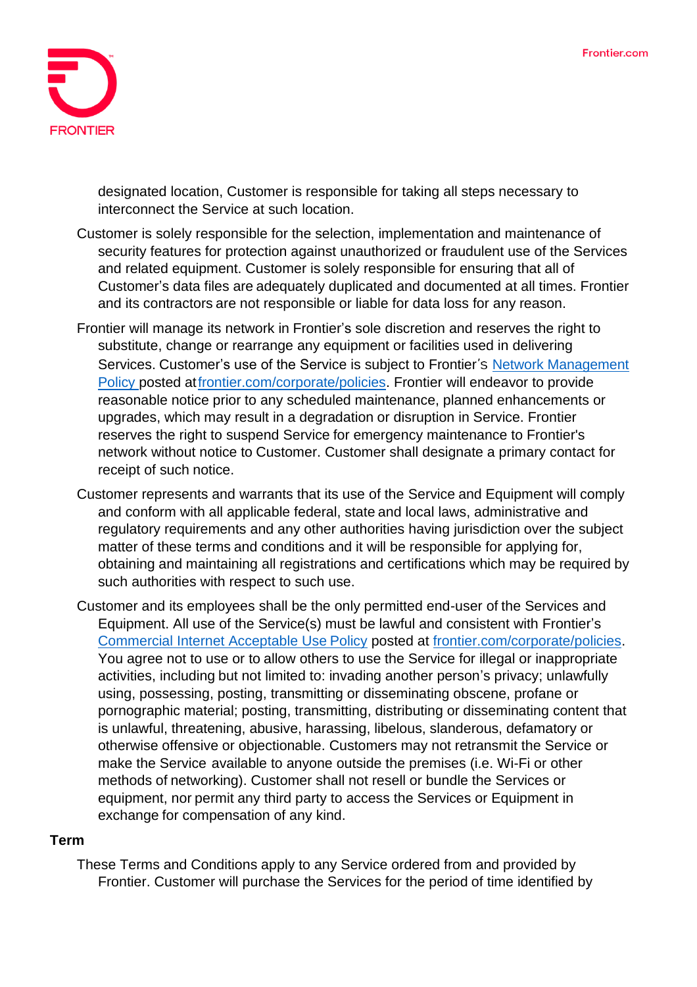

designated location, Customer is responsible for taking all steps necessary to interconnect the Service at such location.

- Customer is solely responsible for the selection, implementation and maintenance of security features for protection against unauthorized or fraudulent use of the Services and related equipment. Customer is solely responsible for ensuring that all of Customer's data files are adequately duplicated and documented at all times. Frontier and its contractors are not responsible or liable for data loss for any reason.
- Frontier will manage its network in Frontier's sole discretion and reserves the right to substitute, change or rearrange any equipment or facilities used in delivering Services. Customer's use of the Service is subject to Frontier's Network [Management](https://frontier.com/~/media/corporate/policies/network-management-policy.ashx?la=en) [Policy](https://frontier.com/~/media/corporate/policies/network-management-policy.ashx?la=en) posted a[tfrontier.com/corporate/policies.](https://frontier.com/corporate/policies) Frontier will endeavor to provide reasonable notice prior to any scheduled maintenance, planned enhancements or upgrades, which may result in a degradation or disruption in Service. Frontier reserves the right to suspend Service for emergency maintenance to Frontier's network without notice to Customer. Customer shall designate a primary contact for receipt of such notice.
- Customer represents and warrants that its use of the Service and Equipment will comply and conform with all applicable federal, state and local laws, administrative and regulatory requirements and any other authorities having jurisdiction over the subject matter of these terms and conditions and it will be responsible for applying for, obtaining and maintaining all registrations and certifications which may be required by such authorities with respect to such use.
- Customer and its employees shall be the only permitted end-user of the Services and Equipment. All use of the Service(s) must be lawful and consistent with Frontier's [Commercial Internet Acceptable Use](https://frontier.com/~/media/corporate/policies/aup-commercial.ashx?la=en) Policy posted at [frontier.com/corporate/policies.](https://frontier.com/corporate/policies) You agree not to use or to allow others to use the Service for illegal or inappropriate activities, including but not limited to: invading another person's privacy; unlawfully using, possessing, posting, transmitting or disseminating obscene, profane or pornographic material; posting, transmitting, distributing or disseminating content that is unlawful, threatening, abusive, harassing, libelous, slanderous, defamatory or otherwise offensive or objectionable. Customers may not retransmit the Service or make the Service available to anyone outside the premises (i.e. Wi-Fi or other methods of networking). Customer shall not resell or bundle the Services or equipment, nor permit any third party to access the Services or Equipment in exchange for compensation of any kind.

#### **Term**

These Terms and Conditions apply to any Service ordered from and provided by Frontier. Customer will purchase the Services for the period of time identified by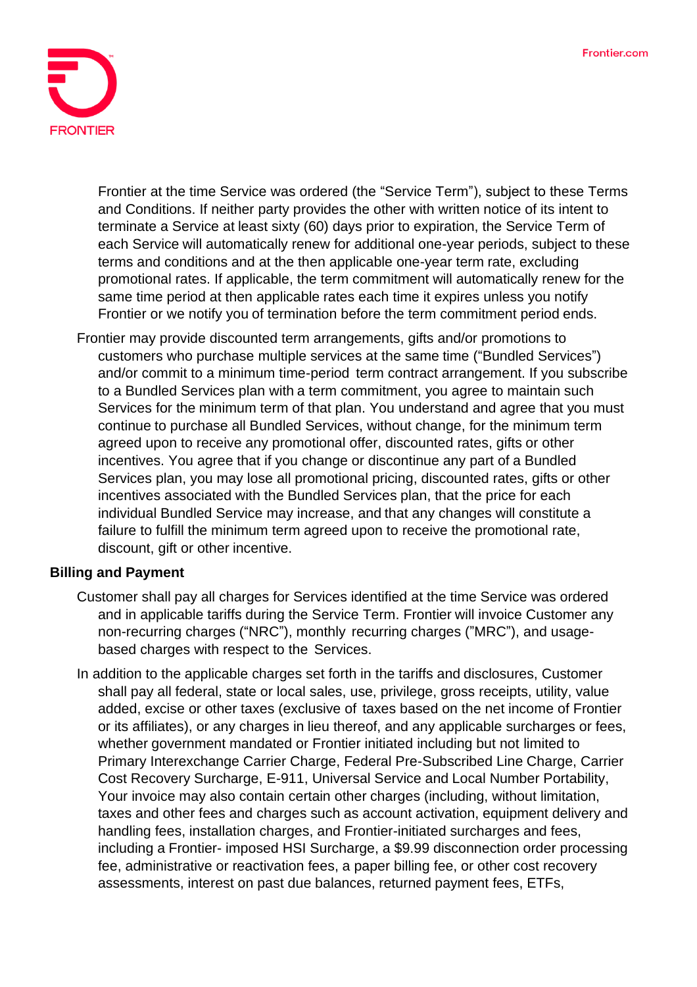

Frontier at the time Service was ordered (the "Service Term"), subject to these Terms and Conditions. If neither party provides the other with written notice of its intent to terminate a Service at least sixty (60) days prior to expiration, the Service Term of each Service will automatically renew for additional one-year periods, subject to these terms and conditions and at the then applicable one-year term rate, excluding promotional rates. If applicable, the term commitment will automatically renew for the same time period at then applicable rates each time it expires unless you notify Frontier or we notify you of termination before the term commitment period ends.

Frontier may provide discounted term arrangements, gifts and/or promotions to customers who purchase multiple services at the same time ("Bundled Services") and/or commit to a minimum time-period term contract arrangement. If you subscribe to a Bundled Services plan with a term commitment, you agree to maintain such Services for the minimum term of that plan. You understand and agree that you must continue to purchase all Bundled Services, without change, for the minimum term agreed upon to receive any promotional offer, discounted rates, gifts or other incentives. You agree that if you change or discontinue any part of a Bundled Services plan, you may lose all promotional pricing, discounted rates, gifts or other incentives associated with the Bundled Services plan, that the price for each individual Bundled Service may increase, and that any changes will constitute a failure to fulfill the minimum term agreed upon to receive the promotional rate, discount, gift or other incentive.

#### **Billing and Payment**

- Customer shall pay all charges for Services identified at the time Service was ordered and in applicable tariffs during the Service Term. Frontier will invoice Customer any non-recurring charges ("NRC"), monthly recurring charges ("MRC"), and usagebased charges with respect to the Services.
- In addition to the applicable charges set forth in the tariffs and disclosures, Customer shall pay all federal, state or local sales, use, privilege, gross receipts, utility, value added, excise or other taxes (exclusive of taxes based on the net income of Frontier or its affiliates), or any charges in lieu thereof, and any applicable surcharges or fees, whether government mandated or Frontier initiated including but not limited to Primary Interexchange Carrier Charge, Federal Pre-Subscribed Line Charge, Carrier Cost Recovery Surcharge, E-911, Universal Service and Local Number Portability, Your invoice may also contain certain other charges (including, without limitation, taxes and other fees and charges such as account activation, equipment delivery and handling fees, installation charges, and Frontier-initiated surcharges and fees, including a Frontier- imposed HSI Surcharge, a \$9.99 disconnection order processing fee, administrative or reactivation fees, a paper billing fee, or other cost recovery assessments, interest on past due balances, returned payment fees, ETFs,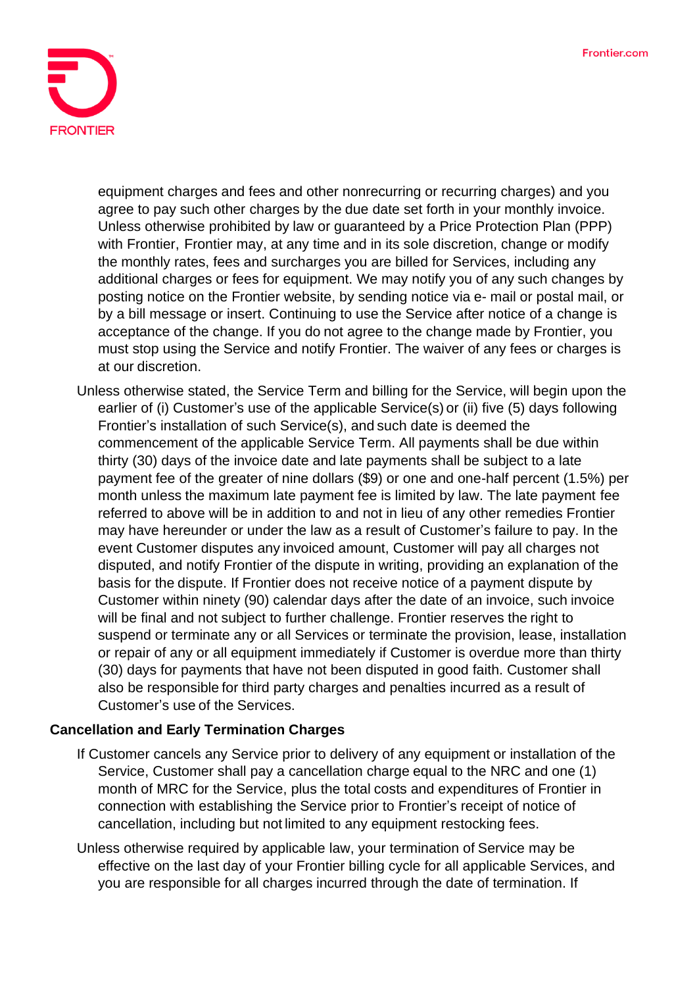

equipment charges and fees and other nonrecurring or recurring charges) and you agree to pay such other charges by the due date set forth in your monthly invoice. Unless otherwise prohibited by law or guaranteed by a Price Protection Plan (PPP) with Frontier, Frontier may, at any time and in its sole discretion, change or modify the monthly rates, fees and surcharges you are billed for Services, including any additional charges or fees for equipment. We may notify you of any such changes by posting notice on the Frontier website, by sending notice via e- mail or postal mail, or by a bill message or insert. Continuing to use the Service after notice of a change is acceptance of the change. If you do not agree to the change made by Frontier, you must stop using the Service and notify Frontier. The waiver of any fees or charges is at our discretion.

Unless otherwise stated, the Service Term and billing for the Service, will begin upon the earlier of (i) Customer's use of the applicable Service(s) or (ii) five (5) days following Frontier's installation of such Service(s), and such date is deemed the commencement of the applicable Service Term. All payments shall be due within thirty (30) days of the invoice date and late payments shall be subject to a late payment fee of the greater of nine dollars (\$9) or one and one-half percent (1.5%) per month unless the maximum late payment fee is limited by law. The late payment fee referred to above will be in addition to and not in lieu of any other remedies Frontier may have hereunder or under the law as a result of Customer's failure to pay. In the event Customer disputes any invoiced amount, Customer will pay all charges not disputed, and notify Frontier of the dispute in writing, providing an explanation of the basis for the dispute. If Frontier does not receive notice of a payment dispute by Customer within ninety (90) calendar days after the date of an invoice, such invoice will be final and not subject to further challenge. Frontier reserves the right to suspend or terminate any or all Services or terminate the provision, lease, installation or repair of any or all equipment immediately if Customer is overdue more than thirty (30) days for payments that have not been disputed in good faith. Customer shall also be responsible for third party charges and penalties incurred as a result of Customer's use of the Services.

### **Cancellation and Early Termination Charges**

- If Customer cancels any Service prior to delivery of any equipment or installation of the Service, Customer shall pay a cancellation charge equal to the NRC and one (1) month of MRC for the Service, plus the total costs and expenditures of Frontier in connection with establishing the Service prior to Frontier's receipt of notice of cancellation, including but not limited to any equipment restocking fees.
- Unless otherwise required by applicable law, your termination of Service may be effective on the last day of your Frontier billing cycle for all applicable Services, and you are responsible for all charges incurred through the date of termination. If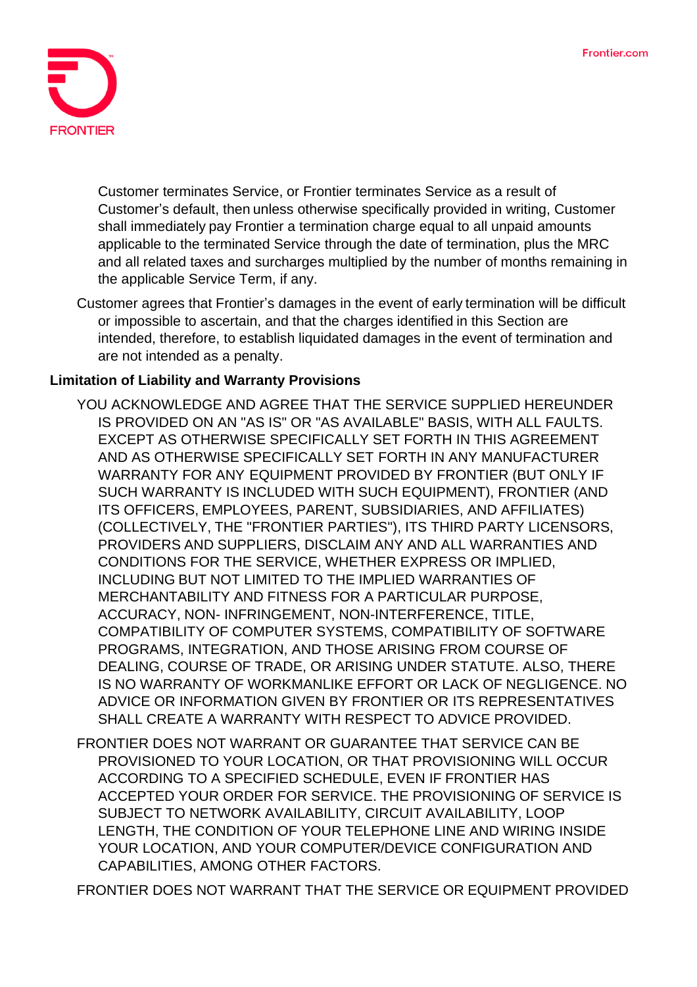

Customer terminates Service, or Frontier terminates Service as a result of Customer's default, then unless otherwise specifically provided in writing, Customer shall immediately pay Frontier a termination charge equal to all unpaid amounts applicable to the terminated Service through the date of termination, plus the MRC and all related taxes and surcharges multiplied by the number of months remaining in the applicable Service Term, if any.

Customer agrees that Frontier's damages in the event of early termination will be difficult or impossible to ascertain, and that the charges identified in this Section are intended, therefore, to establish liquidated damages in the event of termination and are not intended as a penalty.

### **Limitation of Liability and Warranty Provisions**

- YOU ACKNOWLEDGE AND AGREE THAT THE SERVICE SUPPLIED HEREUNDER IS PROVIDED ON AN "AS IS" OR "AS AVAILABLE" BASIS, WITH ALL FAULTS. EXCEPT AS OTHERWISE SPECIFICALLY SET FORTH IN THIS AGREEMENT AND AS OTHERWISE SPECIFICALLY SET FORTH IN ANY MANUFACTURER WARRANTY FOR ANY EQUIPMENT PROVIDED BY FRONTIER (BUT ONLY IF SUCH WARRANTY IS INCLUDED WITH SUCH EQUIPMENT), FRONTIER (AND ITS OFFICERS, EMPLOYEES, PARENT, SUBSIDIARIES, AND AFFILIATES) (COLLECTIVELY, THE "FRONTIER PARTIES"), ITS THIRD PARTY LICENSORS, PROVIDERS AND SUPPLIERS, DISCLAIM ANY AND ALL WARRANTIES AND CONDITIONS FOR THE SERVICE, WHETHER EXPRESS OR IMPLIED, INCLUDING BUT NOT LIMITED TO THE IMPLIED WARRANTIES OF MERCHANTABILITY AND FITNESS FOR A PARTICULAR PURPOSE, ACCURACY, NON- INFRINGEMENT, NON-INTERFERENCE, TITLE, COMPATIBILITY OF COMPUTER SYSTEMS, COMPATIBILITY OF SOFTWARE PROGRAMS, INTEGRATION, AND THOSE ARISING FROM COURSE OF DEALING, COURSE OF TRADE, OR ARISING UNDER STATUTE. ALSO, THERE IS NO WARRANTY OF WORKMANLIKE EFFORT OR LACK OF NEGLIGENCE. NO ADVICE OR INFORMATION GIVEN BY FRONTIER OR ITS REPRESENTATIVES SHALL CREATE A WARRANTY WITH RESPECT TO ADVICE PROVIDED.
- FRONTIER DOES NOT WARRANT OR GUARANTEE THAT SERVICE CAN BE PROVISIONED TO YOUR LOCATION, OR THAT PROVISIONING WILL OCCUR ACCORDING TO A SPECIFIED SCHEDULE, EVEN IF FRONTIER HAS ACCEPTED YOUR ORDER FOR SERVICE. THE PROVISIONING OF SERVICE IS SUBJECT TO NETWORK AVAILABILITY, CIRCUIT AVAILABILITY, LOOP LENGTH, THE CONDITION OF YOUR TELEPHONE LINE AND WIRING INSIDE YOUR LOCATION, AND YOUR COMPUTER/DEVICE CONFIGURATION AND CAPABILITIES, AMONG OTHER FACTORS.

FRONTIER DOES NOT WARRANT THAT THE SERVICE OR EQUIPMENT PROVIDED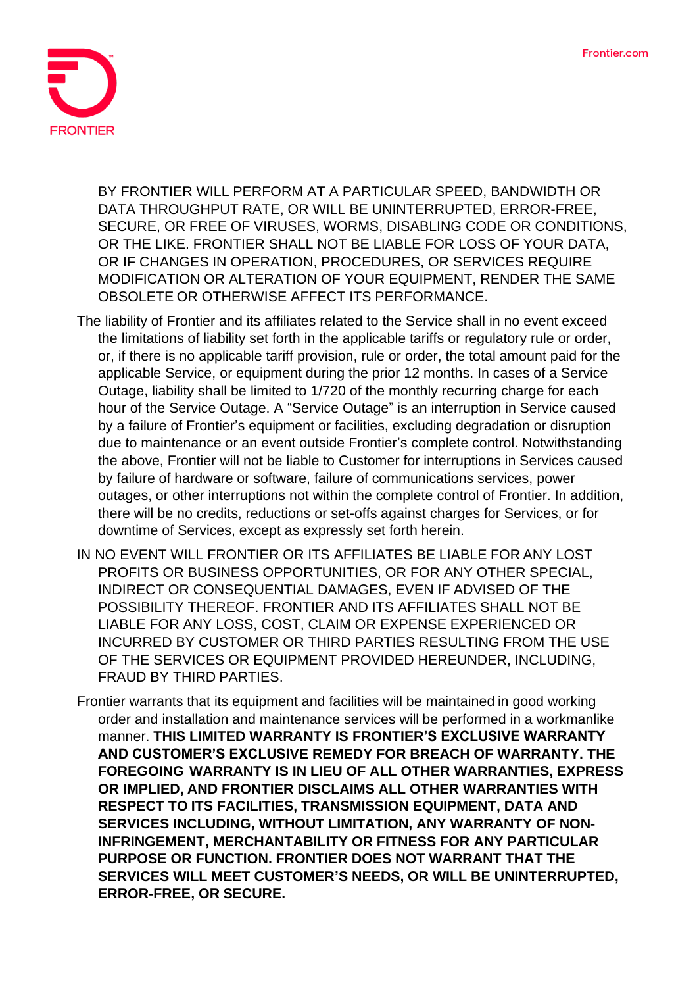

BY FRONTIER WILL PERFORM AT A PARTICULAR SPEED, BANDWIDTH OR DATA THROUGHPUT RATE, OR WILL BE UNINTERRUPTED, ERROR-FREE, SECURE, OR FREE OF VIRUSES, WORMS, DISABLING CODE OR CONDITIONS, OR THE LIKE. FRONTIER SHALL NOT BE LIABLE FOR LOSS OF YOUR DATA, OR IF CHANGES IN OPERATION, PROCEDURES, OR SERVICES REQUIRE MODIFICATION OR ALTERATION OF YOUR EQUIPMENT, RENDER THE SAME OBSOLETE OR OTHERWISE AFFECT ITS PERFORMANCE.

- The liability of Frontier and its affiliates related to the Service shall in no event exceed the limitations of liability set forth in the applicable tariffs or regulatory rule or order, or, if there is no applicable tariff provision, rule or order, the total amount paid for the applicable Service, or equipment during the prior 12 months. In cases of a Service Outage, liability shall be limited to 1/720 of the monthly recurring charge for each hour of the Service Outage. A "Service Outage" is an interruption in Service caused by a failure of Frontier's equipment or facilities, excluding degradation or disruption due to maintenance or an event outside Frontier's complete control. Notwithstanding the above, Frontier will not be liable to Customer for interruptions in Services caused by failure of hardware or software, failure of communications services, power outages, or other interruptions not within the complete control of Frontier. In addition, there will be no credits, reductions or set-offs against charges for Services, or for downtime of Services, except as expressly set forth herein.
- IN NO EVENT WILL FRONTIER OR ITS AFFILIATES BE LIABLE FOR ANY LOST PROFITS OR BUSINESS OPPORTUNITIES, OR FOR ANY OTHER SPECIAL, INDIRECT OR CONSEQUENTIAL DAMAGES, EVEN IF ADVISED OF THE POSSIBILITY THEREOF. FRONTIER AND ITS AFFILIATES SHALL NOT BE LIABLE FOR ANY LOSS, COST, CLAIM OR EXPENSE EXPERIENCED OR INCURRED BY CUSTOMER OR THIRD PARTIES RESULTING FROM THE USE OF THE SERVICES OR EQUIPMENT PROVIDED HEREUNDER, INCLUDING, FRAUD BY THIRD PARTIES.
- Frontier warrants that its equipment and facilities will be maintained in good working order and installation and maintenance services will be performed in a workmanlike manner. **THIS LIMITED WARRANTY IS FRONTIER'S EXCLUSIVE WARRANTY AND CUSTOMER'S EXCLUSIVE REMEDY FOR BREACH OF WARRANTY. THE FOREGOING WARRANTY IS IN LIEU OF ALL OTHER WARRANTIES, EXPRESS OR IMPLIED, AND FRONTIER DISCLAIMS ALL OTHER WARRANTIES WITH RESPECT TO ITS FACILITIES, TRANSMISSION EQUIPMENT, DATA AND SERVICES INCLUDING, WITHOUT LIMITATION, ANY WARRANTY OF NON-INFRINGEMENT, MERCHANTABILITY OR FITNESS FOR ANY PARTICULAR PURPOSE OR FUNCTION. FRONTIER DOES NOT WARRANT THAT THE SERVICES WILL MEET CUSTOMER'S NEEDS, OR WILL BE UNINTERRUPTED, ERROR-FREE, OR SECURE.**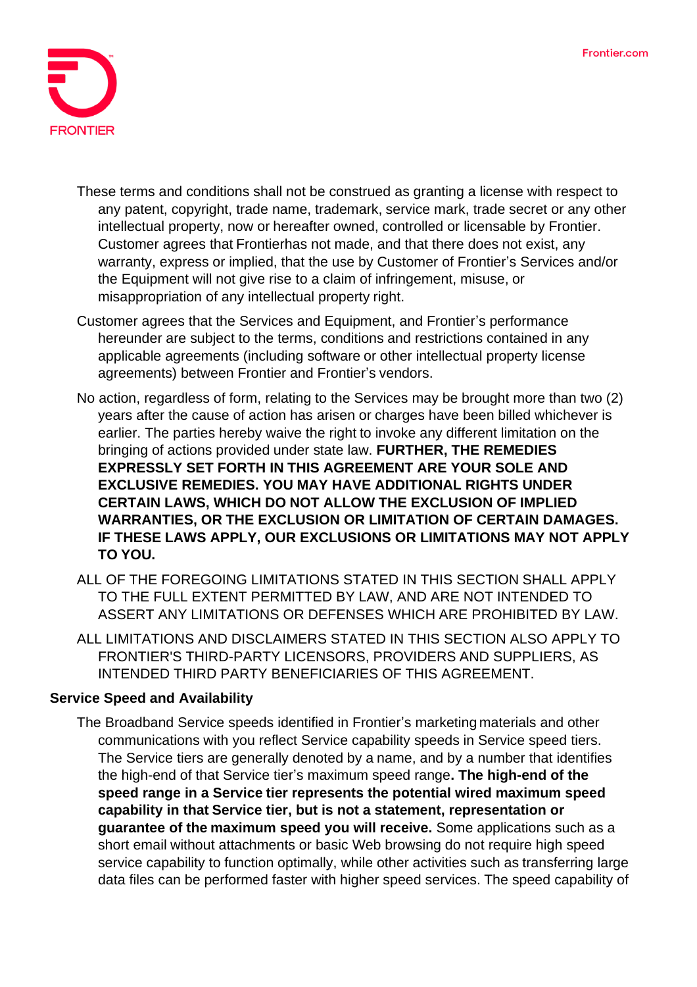

- These terms and conditions shall not be construed as granting a license with respect to any patent, copyright, trade name, trademark, service mark, trade secret or any other intellectual property, now or hereafter owned, controlled or licensable by Frontier. Customer agrees that Frontierhas not made, and that there does not exist, any warranty, express or implied, that the use by Customer of Frontier's Services and/or the Equipment will not give rise to a claim of infringement, misuse, or misappropriation of any intellectual property right.
- Customer agrees that the Services and Equipment, and Frontier's performance hereunder are subject to the terms, conditions and restrictions contained in any applicable agreements (including software or other intellectual property license agreements) between Frontier and Frontier's vendors.
- No action, regardless of form, relating to the Services may be brought more than two (2) years after the cause of action has arisen or charges have been billed whichever is earlier. The parties hereby waive the right to invoke any different limitation on the bringing of actions provided under state law. **FURTHER, THE REMEDIES EXPRESSLY SET FORTH IN THIS AGREEMENT ARE YOUR SOLE AND EXCLUSIVE REMEDIES. YOU MAY HAVE ADDITIONAL RIGHTS UNDER CERTAIN LAWS, WHICH DO NOT ALLOW THE EXCLUSION OF IMPLIED WARRANTIES, OR THE EXCLUSION OR LIMITATION OF CERTAIN DAMAGES. IF THESE LAWS APPLY, OUR EXCLUSIONS OR LIMITATIONS MAY NOT APPLY TO YOU.**
- ALL OF THE FOREGOING LIMITATIONS STATED IN THIS SECTION SHALL APPLY TO THE FULL EXTENT PERMITTED BY LAW, AND ARE NOT INTENDED TO ASSERT ANY LIMITATIONS OR DEFENSES WHICH ARE PROHIBITED BY LAW.
- ALL LIMITATIONS AND DISCLAIMERS STATED IN THIS SECTION ALSO APPLY TO FRONTIER'S THIRD-PARTY LICENSORS, PROVIDERS AND SUPPLIERS, AS INTENDED THIRD PARTY BENEFICIARIES OF THIS AGREEMENT.

### **Service Speed and Availability**

The Broadband Service speeds identified in Frontier's marketing materials and other communications with you reflect Service capability speeds in Service speed tiers. The Service tiers are generally denoted by a name, and by a number that identifies the high-end of that Service tier's maximum speed range**. The high-end of the speed range in a Service tier represents the potential wired maximum speed capability in that Service tier, but is not a statement, representation or guarantee of the maximum speed you will receive.** Some applications such as a short email without attachments or basic Web browsing do not require high speed service capability to function optimally, while other activities such as transferring large data files can be performed faster with higher speed services. The speed capability of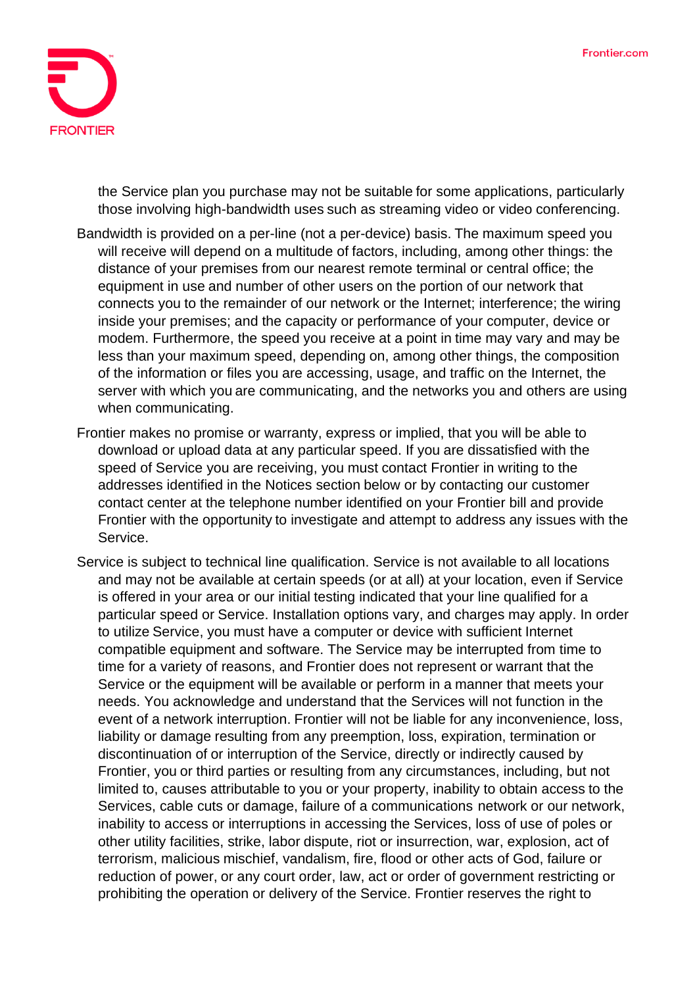

the Service plan you purchase may not be suitable for some applications, particularly those involving high-bandwidth uses such as streaming video or video conferencing.

- Bandwidth is provided on a per-line (not a per-device) basis. The maximum speed you will receive will depend on a multitude of factors, including, among other things: the distance of your premises from our nearest remote terminal or central office; the equipment in use and number of other users on the portion of our network that connects you to the remainder of our network or the Internet; interference; the wiring inside your premises; and the capacity or performance of your computer, device or modem. Furthermore, the speed you receive at a point in time may vary and may be less than your maximum speed, depending on, among other things, the composition of the information or files you are accessing, usage, and traffic on the Internet, the server with which you are communicating, and the networks you and others are using when communicating.
- Frontier makes no promise or warranty, express or implied, that you will be able to download or upload data at any particular speed. If you are dissatisfied with the speed of Service you are receiving, you must contact Frontier in writing to the addresses identified in the Notices section below or by contacting our customer contact center at the telephone number identified on your Frontier bill and provide Frontier with the opportunity to investigate and attempt to address any issues with the Service.
- Service is subject to technical line qualification. Service is not available to all locations and may not be available at certain speeds (or at all) at your location, even if Service is offered in your area or our initial testing indicated that your line qualified for a particular speed or Service. Installation options vary, and charges may apply. In order to utilize Service, you must have a computer or device with sufficient Internet compatible equipment and software. The Service may be interrupted from time to time for a variety of reasons, and Frontier does not represent or warrant that the Service or the equipment will be available or perform in a manner that meets your needs. You acknowledge and understand that the Services will not function in the event of a network interruption. Frontier will not be liable for any inconvenience, loss, liability or damage resulting from any preemption, loss, expiration, termination or discontinuation of or interruption of the Service, directly or indirectly caused by Frontier, you or third parties or resulting from any circumstances, including, but not limited to, causes attributable to you or your property, inability to obtain access to the Services, cable cuts or damage, failure of a communications network or our network, inability to access or interruptions in accessing the Services, loss of use of poles or other utility facilities, strike, labor dispute, riot or insurrection, war, explosion, act of terrorism, malicious mischief, vandalism, fire, flood or other acts of God, failure or reduction of power, or any court order, law, act or order of government restricting or prohibiting the operation or delivery of the Service. Frontier reserves the right to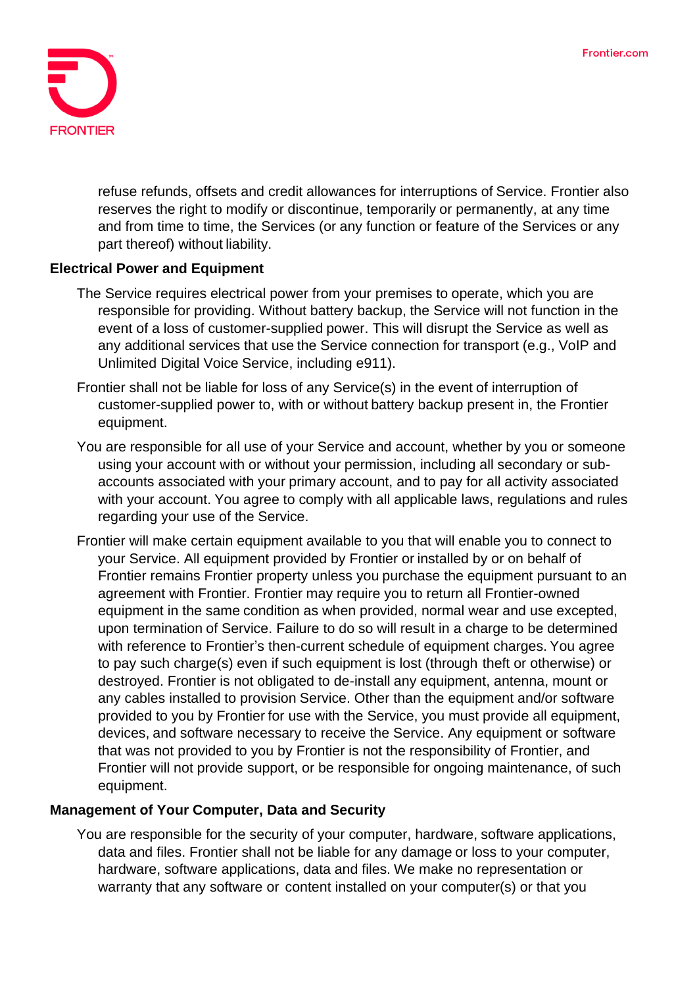

refuse refunds, offsets and credit allowances for interruptions of Service. Frontier also reserves the right to modify or discontinue, temporarily or permanently, at any time and from time to time, the Services (or any function or feature of the Services or any part thereof) without liability.

#### **Electrical Power and Equipment**

- The Service requires electrical power from your premises to operate, which you are responsible for providing. Without battery backup, the Service will not function in the event of a loss of customer-supplied power. This will disrupt the Service as well as any additional services that use the Service connection for transport (e.g., VoIP and Unlimited Digital Voice Service, including e911).
- Frontier shall not be liable for loss of any Service(s) in the event of interruption of customer-supplied power to, with or without battery backup present in, the Frontier equipment.
- You are responsible for all use of your Service and account, whether by you or someone using your account with or without your permission, including all secondary or subaccounts associated with your primary account, and to pay for all activity associated with your account. You agree to comply with all applicable laws, regulations and rules regarding your use of the Service.
- Frontier will make certain equipment available to you that will enable you to connect to your Service. All equipment provided by Frontier or installed by or on behalf of Frontier remains Frontier property unless you purchase the equipment pursuant to an agreement with Frontier. Frontier may require you to return all Frontier-owned equipment in the same condition as when provided, normal wear and use excepted, upon termination of Service. Failure to do so will result in a charge to be determined with reference to Frontier's then-current schedule of equipment charges. You agree to pay such charge(s) even if such equipment is lost (through theft or otherwise) or destroyed. Frontier is not obligated to de-install any equipment, antenna, mount or any cables installed to provision Service. Other than the equipment and/or software provided to you by Frontier for use with the Service, you must provide all equipment, devices, and software necessary to receive the Service. Any equipment or software that was not provided to you by Frontier is not the responsibility of Frontier, and Frontier will not provide support, or be responsible for ongoing maintenance, of such equipment.

#### **Management of Your Computer, Data and Security**

You are responsible for the security of your computer, hardware, software applications, data and files. Frontier shall not be liable for any damage or loss to your computer, hardware, software applications, data and files. We make no representation or warranty that any software or content installed on your computer(s) or that you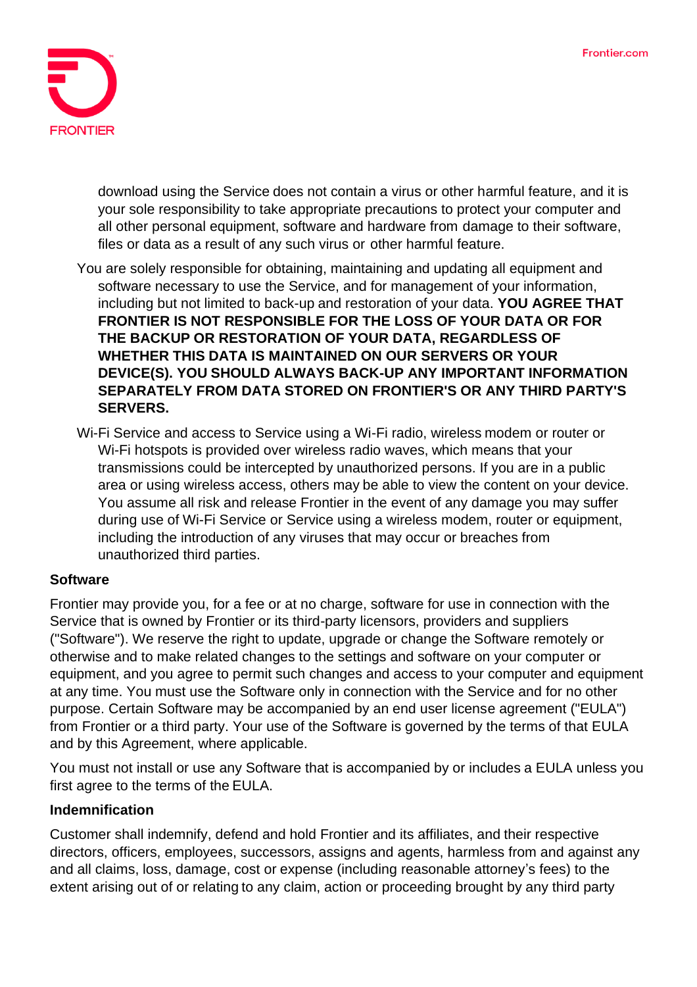

download using the Service does not contain a virus or other harmful feature, and it is your sole responsibility to take appropriate precautions to protect your computer and all other personal equipment, software and hardware from damage to their software, files or data as a result of any such virus or other harmful feature.

- You are solely responsible for obtaining, maintaining and updating all equipment and software necessary to use the Service, and for management of your information, including but not limited to back-up and restoration of your data. **YOU AGREE THAT FRONTIER IS NOT RESPONSIBLE FOR THE LOSS OF YOUR DATA OR FOR THE BACKUP OR RESTORATION OF YOUR DATA, REGARDLESS OF WHETHER THIS DATA IS MAINTAINED ON OUR SERVERS OR YOUR DEVICE(S). YOU SHOULD ALWAYS BACK-UP ANY IMPORTANT INFORMATION SEPARATELY FROM DATA STORED ON FRONTIER'S OR ANY THIRD PARTY'S SERVERS.**
- Wi-Fi Service and access to Service using a Wi-Fi radio, wireless modem or router or Wi-Fi hotspots is provided over wireless radio waves, which means that your transmissions could be intercepted by unauthorized persons. If you are in a public area or using wireless access, others may be able to view the content on your device. You assume all risk and release Frontier in the event of any damage you may suffer during use of Wi-Fi Service or Service using a wireless modem, router or equipment, including the introduction of any viruses that may occur or breaches from unauthorized third parties.

### **Software**

Frontier may provide you, for a fee or at no charge, software for use in connection with the Service that is owned by Frontier or its third-party licensors, providers and suppliers ("Software"). We reserve the right to update, upgrade or change the Software remotely or otherwise and to make related changes to the settings and software on your computer or equipment, and you agree to permit such changes and access to your computer and equipment at any time. You must use the Software only in connection with the Service and for no other purpose. Certain Software may be accompanied by an end user license agreement ("EULA") from Frontier or a third party. Your use of the Software is governed by the terms of that EULA and by this Agreement, where applicable.

You must not install or use any Software that is accompanied by or includes a EULA unless you first agree to the terms of the EULA.

### **Indemnification**

Customer shall indemnify, defend and hold Frontier and its affiliates, and their respective directors, officers, employees, successors, assigns and agents, harmless from and against any and all claims, loss, damage, cost or expense (including reasonable attorney's fees) to the extent arising out of or relating to any claim, action or proceeding brought by any third party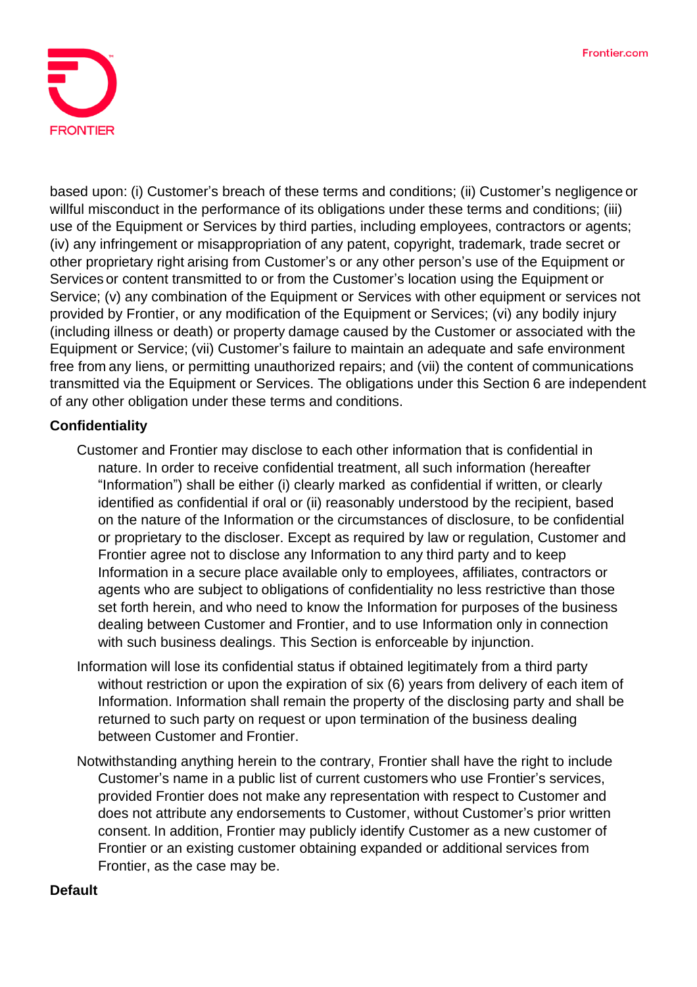

based upon: (i) Customer's breach of these terms and conditions; (ii) Customer's negligence or willful misconduct in the performance of its obligations under these terms and conditions; (iii) use of the Equipment or Services by third parties, including employees, contractors or agents; (iv) any infringement or misappropriation of any patent, copyright, trademark, trade secret or other proprietary right arising from Customer's or any other person's use of the Equipment or Services or content transmitted to or from the Customer's location using the Equipment or Service; (v) any combination of the Equipment or Services with other equipment or services not provided by Frontier, or any modification of the Equipment or Services; (vi) any bodily injury (including illness or death) or property damage caused by the Customer or associated with the Equipment or Service; (vii) Customer's failure to maintain an adequate and safe environment free from any liens, or permitting unauthorized repairs; and (vii) the content of communications transmitted via the Equipment or Services. The obligations under this Section 6 are independent of any other obligation under these terms and conditions.

### **Confidentiality**

- Customer and Frontier may disclose to each other information that is confidential in nature. In order to receive confidential treatment, all such information (hereafter "Information") shall be either (i) clearly marked as confidential if written, or clearly identified as confidential if oral or (ii) reasonably understood by the recipient, based on the nature of the Information or the circumstances of disclosure, to be confidential or proprietary to the discloser. Except as required by law or regulation, Customer and Frontier agree not to disclose any Information to any third party and to keep Information in a secure place available only to employees, affiliates, contractors or agents who are subject to obligations of confidentiality no less restrictive than those set forth herein, and who need to know the Information for purposes of the business dealing between Customer and Frontier, and to use Information only in connection with such business dealings. This Section is enforceable by injunction.
- Information will lose its confidential status if obtained legitimately from a third party without restriction or upon the expiration of six (6) years from delivery of each item of Information. Information shall remain the property of the disclosing party and shall be returned to such party on request or upon termination of the business dealing between Customer and Frontier.
- Notwithstanding anything herein to the contrary, Frontier shall have the right to include Customer's name in a public list of current customers who use Frontier's services, provided Frontier does not make any representation with respect to Customer and does not attribute any endorsements to Customer, without Customer's prior written consent. In addition, Frontier may publicly identify Customer as a new customer of Frontier or an existing customer obtaining expanded or additional services from Frontier, as the case may be.

#### **Default**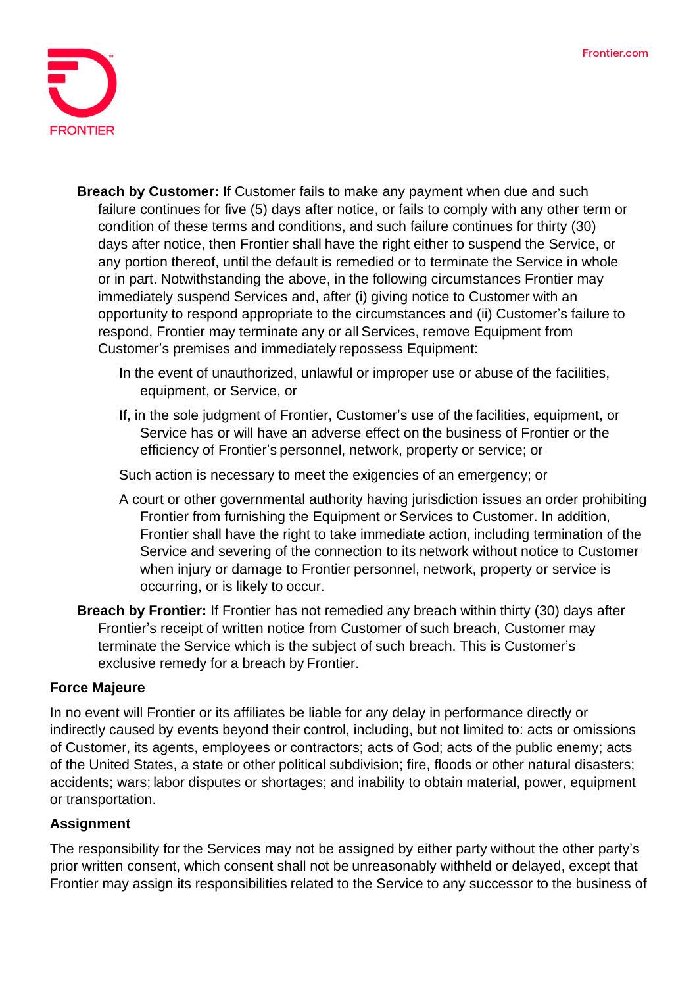

- **Breach by Customer:** If Customer fails to make any payment when due and such failure continues for five (5) days after notice, or fails to comply with any other term or condition of these terms and conditions, and such failure continues for thirty (30) days after notice, then Frontier shall have the right either to suspend the Service, or any portion thereof, until the default is remedied or to terminate the Service in whole or in part. Notwithstanding the above, in the following circumstances Frontier may immediately suspend Services and, after (i) giving notice to Customer with an opportunity to respond appropriate to the circumstances and (ii) Customer's failure to respond, Frontier may terminate any or all Services, remove Equipment from Customer's premises and immediately repossess Equipment:
	- In the event of unauthorized, unlawful or improper use or abuse of the facilities, equipment, or Service, or
	- If, in the sole judgment of Frontier, Customer's use of the facilities, equipment, or Service has or will have an adverse effect on the business of Frontier or the efficiency of Frontier's personnel, network, property or service; or

Such action is necessary to meet the exigencies of an emergency; or

- A court or other governmental authority having jurisdiction issues an order prohibiting Frontier from furnishing the Equipment or Services to Customer. In addition, Frontier shall have the right to take immediate action, including termination of the Service and severing of the connection to its network without notice to Customer when injury or damage to Frontier personnel, network, property or service is occurring, or is likely to occur.
- **Breach by Frontier:** If Frontier has not remedied any breach within thirty (30) days after Frontier's receipt of written notice from Customer of such breach, Customer may terminate the Service which is the subject of such breach. This is Customer's exclusive remedy for a breach by Frontier.

#### **Force Majeure**

In no event will Frontier or its affiliates be liable for any delay in performance directly or indirectly caused by events beyond their control, including, but not limited to: acts or omissions of Customer, its agents, employees or contractors; acts of God; acts of the public enemy; acts of the United States, a state or other political subdivision; fire, floods or other natural disasters; accidents; wars; labor disputes or shortages; and inability to obtain material, power, equipment or transportation.

### **Assignment**

The responsibility for the Services may not be assigned by either party without the other party's prior written consent, which consent shall not be unreasonably withheld or delayed, except that Frontier may assign its responsibilities related to the Service to any successor to the business of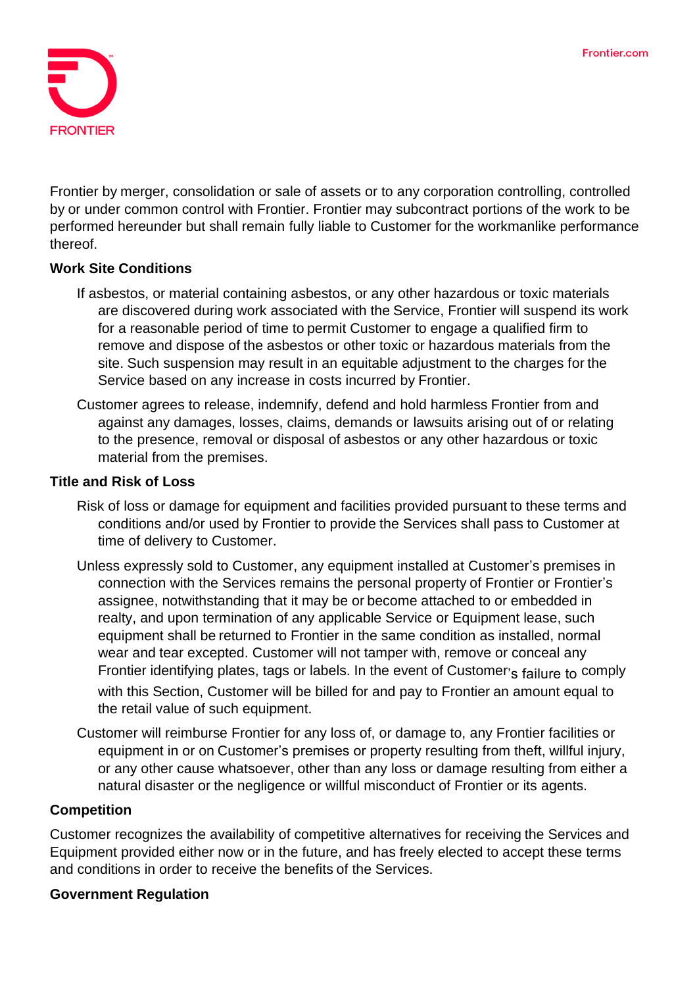

Frontier by merger, consolidation or sale of assets or to any corporation controlling, controlled by or under common control with Frontier. Frontier may subcontract portions of the work to be performed hereunder but shall remain fully liable to Customer for the workmanlike performance thereof.

### **Work Site Conditions**

- If asbestos, or material containing asbestos, or any other hazardous or toxic materials are discovered during work associated with the Service, Frontier will suspend its work for a reasonable period of time to permit Customer to engage a qualified firm to remove and dispose of the asbestos or other toxic or hazardous materials from the site. Such suspension may result in an equitable adjustment to the charges for the Service based on any increase in costs incurred by Frontier.
- Customer agrees to release, indemnify, defend and hold harmless Frontier from and against any damages, losses, claims, demands or lawsuits arising out of or relating to the presence, removal or disposal of asbestos or any other hazardous or toxic material from the premises.

#### **Title and Risk of Loss**

- Risk of loss or damage for equipment and facilities provided pursuant to these terms and conditions and/or used by Frontier to provide the Services shall pass to Customer at time of delivery to Customer.
- Unless expressly sold to Customer, any equipment installed at Customer's premises in connection with the Services remains the personal property of Frontier or Frontier's assignee, notwithstanding that it may be or become attached to or embedded in realty, and upon termination of any applicable Service or Equipment lease, such equipment shall be returned to Frontier in the same condition as installed, normal wear and tear excepted. Customer will not tamper with, remove or conceal any Frontier identifying plates, tags or labels. In the event of Customer's failure to comply with this Section, Customer will be billed for and pay to Frontier an amount equal to the retail value of such equipment.
- Customer will reimburse Frontier for any loss of, or damage to, any Frontier facilities or equipment in or on Customer's premises or property resulting from theft, willful injury, or any other cause whatsoever, other than any loss or damage resulting from either a natural disaster or the negligence or willful misconduct of Frontier or its agents.

### **Competition**

Customer recognizes the availability of competitive alternatives for receiving the Services and Equipment provided either now or in the future, and has freely elected to accept these terms and conditions in order to receive the benefits of the Services.

### **Government Regulation**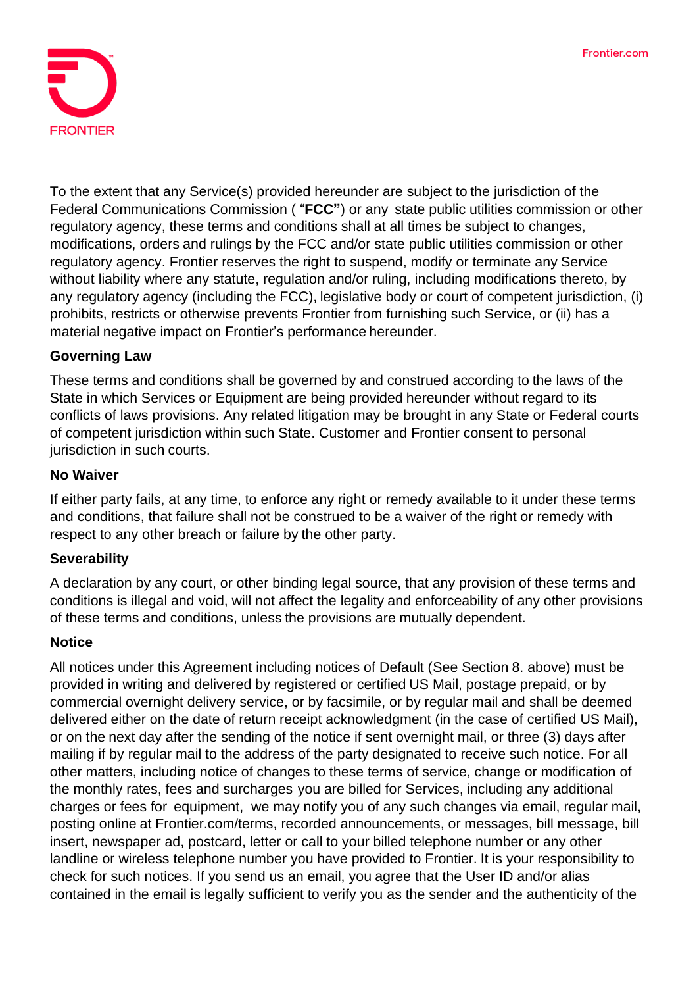

To the extent that any Service(s) provided hereunder are subject to the jurisdiction of the Federal Communications Commission ( "**FCC"**) or any state public utilities commission or other regulatory agency, these terms and conditions shall at all times be subject to changes, modifications, orders and rulings by the FCC and/or state public utilities commission or other regulatory agency. Frontier reserves the right to suspend, modify or terminate any Service without liability where any statute, regulation and/or ruling, including modifications thereto, by any regulatory agency (including the FCC), legislative body or court of competent jurisdiction, (i) prohibits, restricts or otherwise prevents Frontier from furnishing such Service, or (ii) has a material negative impact on Frontier's performance hereunder.

### **Governing Law**

These terms and conditions shall be governed by and construed according to the laws of the State in which Services or Equipment are being provided hereunder without regard to its conflicts of laws provisions. Any related litigation may be brought in any State or Federal courts of competent jurisdiction within such State. Customer and Frontier consent to personal jurisdiction in such courts.

#### **No Waiver**

If either party fails, at any time, to enforce any right or remedy available to it under these terms and conditions, that failure shall not be construed to be a waiver of the right or remedy with respect to any other breach or failure by the other party.

#### **Severability**

A declaration by any court, or other binding legal source, that any provision of these terms and conditions is illegal and void, will not affect the legality and enforceability of any other provisions of these terms and conditions, unless the provisions are mutually dependent.

#### **Notice**

All notices under this Agreement including notices of Default (See Section 8. above) must be provided in writing and delivered by registered or certified US Mail, postage prepaid, or by commercial overnight delivery service, or by facsimile, or by regular mail and shall be deemed delivered either on the date of return receipt acknowledgment (in the case of certified US Mail), or on the next day after the sending of the notice if sent overnight mail, or three (3) days after mailing if by regular mail to the address of the party designated to receive such notice. For all other matters, including notice of changes to these terms of service, change or modification of the monthly rates, fees and surcharges you are billed for Services, including any additional charges or fees for equipment, we may notify you of any such changes via email, regular mail, posting online at Frontier.com/terms, recorded announcements, or messages, bill message, bill insert, newspaper ad, postcard, letter or call to your billed telephone number or any other landline or wireless telephone number you have provided to Frontier. It is your responsibility to check for such notices. If you send us an email, you agree that the User ID and/or alias contained in the email is legally sufficient to verify you as the sender and the authenticity of the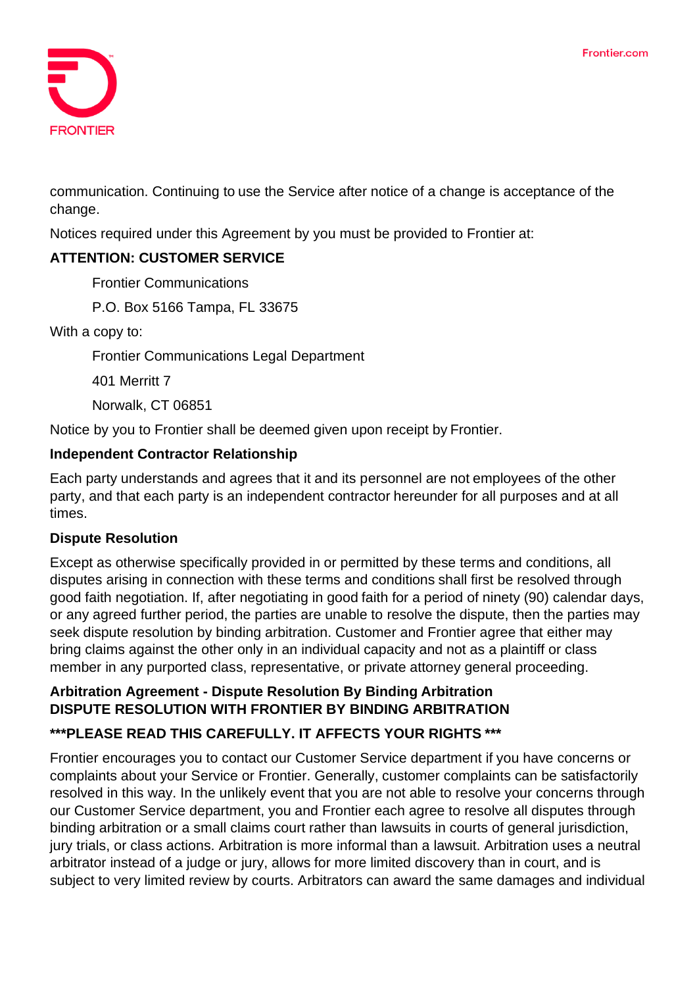

communication. Continuing to use the Service after notice of a change is acceptance of the change.

Notices required under this Agreement by you must be provided to Frontier at:

# **ATTENTION: CUSTOMER SERVICE**

Frontier Communications

P.O. Box 5166 Tampa, FL 33675

With a copy to:

Frontier Communications Legal Department

401 Merritt 7

Norwalk, CT 06851

Notice by you to Frontier shall be deemed given upon receipt by Frontier.

### **Independent Contractor Relationship**

Each party understands and agrees that it and its personnel are not employees of the other party, and that each party is an independent contractor hereunder for all purposes and at all times.

### **Dispute Resolution**

Except as otherwise specifically provided in or permitted by these terms and conditions, all disputes arising in connection with these terms and conditions shall first be resolved through good faith negotiation. If, after negotiating in good faith for a period of ninety (90) calendar days, or any agreed further period, the parties are unable to resolve the dispute, then the parties may seek dispute resolution by binding arbitration. Customer and Frontier agree that either may bring claims against the other only in an individual capacity and not as a plaintiff or class member in any purported class, representative, or private attorney general proceeding.

#### **Arbitration Agreement - Dispute Resolution By Binding Arbitration DISPUTE RESOLUTION WITH FRONTIER BY BINDING ARBITRATION**

# **\*\*\*PLEASE READ THIS CAREFULLY. IT AFFECTS YOUR RIGHTS \*\*\***

Frontier encourages you to contact our Customer Service department if you have concerns or complaints about your Service or Frontier. Generally, customer complaints can be satisfactorily resolved in this way. In the unlikely event that you are not able to resolve your concerns through our Customer Service department, you and Frontier each agree to resolve all disputes through binding arbitration or a small claims court rather than lawsuits in courts of general jurisdiction, jury trials, or class actions. Arbitration is more informal than a lawsuit. Arbitration uses a neutral arbitrator instead of a judge or jury, allows for more limited discovery than in court, and is subject to very limited review by courts. Arbitrators can award the same damages and individual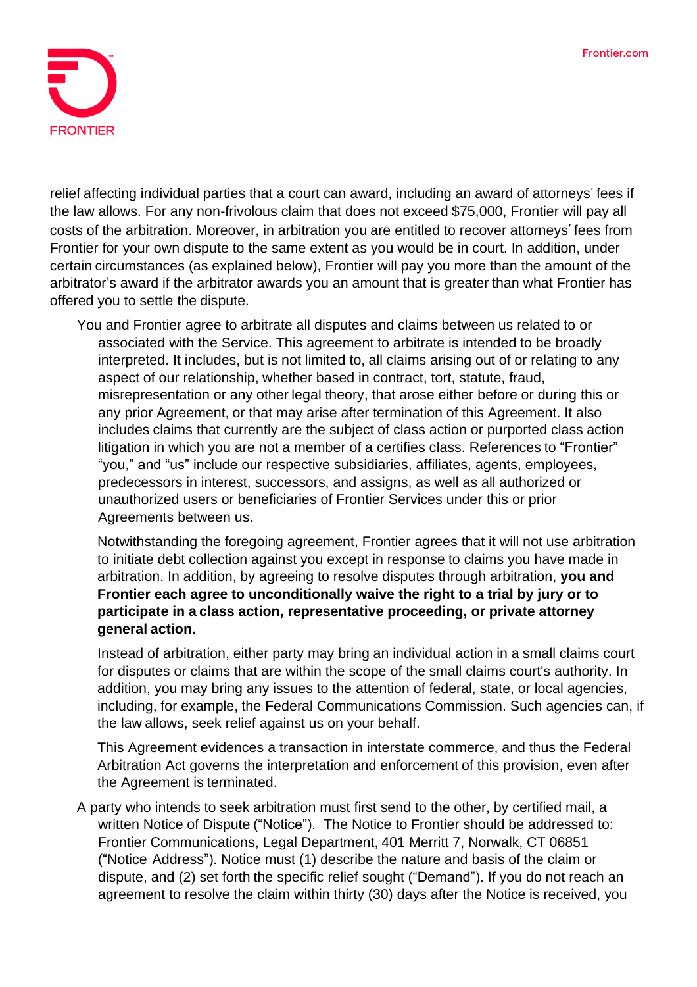

relief affecting individual parties that a court can award, including an award of attorneys' fees if the law allows. For any non-frivolous claim that does not exceed \$75,000, Frontier will pay all costs of the arbitration. Moreover, in arbitration you are entitled to recover attorneys fees from Frontier for your own dispute to the same extent as you would be in court. In addition, under certain circumstances (as explained below), Frontier will pay you more than the amount of the arbitrator's award if the arbitrator awards you an amount that is greater than what Frontier has offered you to settle the dispute.

You and Frontier agree to arbitrate all disputes and claims between us related to or associated with the Service. This agreement to arbitrate is intended to be broadly interpreted. It includes, but is not limited to, all claims arising out of or relating to any aspect of our relationship, whether based in contract, tort, statute, fraud, misrepresentation or any other legal theory, that arose either before or during this or any prior Agreement, or that may arise after termination of this Agreement. It also includes claims that currently are the subject of class action or purported class action litigation in which you are not a member of a certifies class. References to "Frontier" "you," and "us" include our respective subsidiaries, affiliates, agents, employees, predecessors in interest, successors, and assigns, as well as all authorized or unauthorized users or beneficiaries of Frontier Services under this or prior Agreements between us.

Notwithstanding the foregoing agreement, Frontier agrees that it will not use arbitration to initiate debt collection against you except in response to claims you have made in arbitration. In addition, by agreeing to resolve disputes through arbitration, **you and Frontier each agree to unconditionally waive the right to a trial by jury or to participate in a class action, representative proceeding, or private attorney general action.**

Instead of arbitration, either party may bring an individual action in a small claims court for disputes or claims that are within the scope of the small claims court's authority. In addition, you may bring any issues to the attention of federal, state, or local agencies, including, for example, the Federal Communications Commission. Such agencies can, if the law allows, seek relief against us on your behalf.

This Agreement evidences a transaction in interstate commerce, and thus the Federal Arbitration Act governs the interpretation and enforcement of this provision, even after the Agreement is terminated.

A party who intends to seek arbitration must first send to the other, by certified mail, a written Notice of Dispute ("Notice"). The Notice to Frontier should be addressed to: Frontier Communications, Legal Department, 401 Merritt 7, Norwalk, CT 06851 ("Notice Address"). Notice must (1) describe the nature and basis of the claim or dispute, and (2) set forth the specific relief sought ("Demand"). If you do not reach an agreement to resolve the claim within thirty (30) days after the Notice is received, you